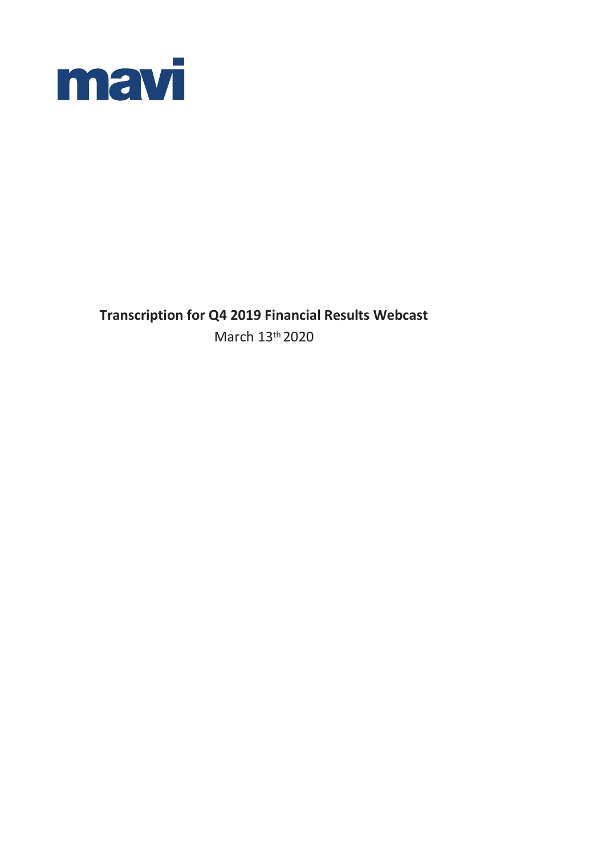

**Transcription for Q4 2019 Financial Results Webcast** March 13 th 2020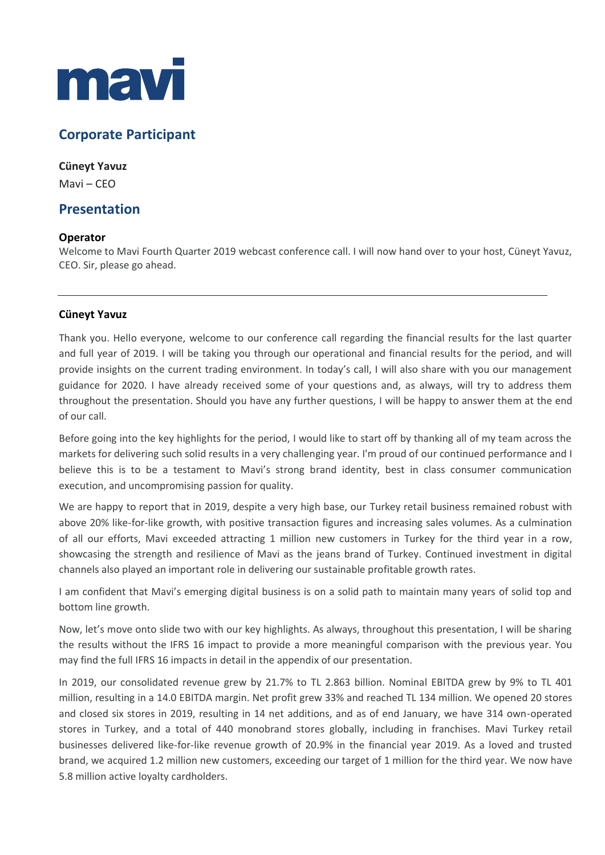

# **Corporate Participant**

### **Cüneyt Yavuz**

Mavi – CEO

## **Presentation**

### **Operator**

Welcome to Mavi Fourth Quarter 2019 webcast conference call. I will now hand over to your host, Cüneyt Yavuz, CEO. Sir, please go ahead.

### **Cüneyt Yavuz**

Thank you. Hello everyone, welcome to our conference call regarding the financial results for the last quarter and full year of 2019. I will be taking you through our operational and financial results for the period, and will provide insights on the current trading environment. In today's call, I will also share with you our management guidance for 2020. I have already received some of your questions and, as always, will try to address them throughout the presentation. Should you have any further questions, I will be happy to answer them at the end of our call.

Before going into the key highlights for the period, I would like to start off by thanking all of my team across the markets for delivering such solid results in a very challenging year. I'm proud of our continued performance and I believe this is to be a testament to Mavi's strong brand identity, best in class consumer communication execution, and uncompromising passion for quality.

We are happy to report that in 2019, despite a very high base, our Turkey retail business remained robust with above 20% like-for-like growth, with positive transaction figures and increasing sales volumes. As a culmination of all our efforts, Mavi exceeded attracting 1 million new customers in Turkey for the third year in a row, showcasing the strength and resilience of Mavi as the jeans brand of Turkey. Continued investment in digital channels also played an important role in delivering our sustainable profitable growth rates.

I am confident that Mavi's emerging digital business is on a solid path to maintain many years of solid top and bottom line growth.

Now, let's move onto slide two with our key highlights. As always, throughout this presentation, I will be sharing the results without the IFRS 16 impact to provide a more meaningful comparison with the previous year. You may find the full IFRS 16 impacts in detail in the appendix of our presentation.

In 2019, our consolidated revenue grew by 21.7% to TL 2.863 billion. Nominal EBITDA grew by 9% to TL 401 million, resulting in a 14.0 EBITDA margin. Net profit grew 33% and reached TL 134 million. We opened 20 stores and closed six stores in 2019, resulting in 14 net additions, and as of end January, we have 314 own-operated stores in Turkey, and a total of 440 monobrand stores globally, including in franchises. Mavi Turkey retail businesses delivered like-for-like revenue growth of 20.9% in the financial year 2019. As a loved and trusted brand, we acquired 1.2 million new customers, exceeding our target of 1 million for the third year. We now have 5.8 million active loyalty cardholders.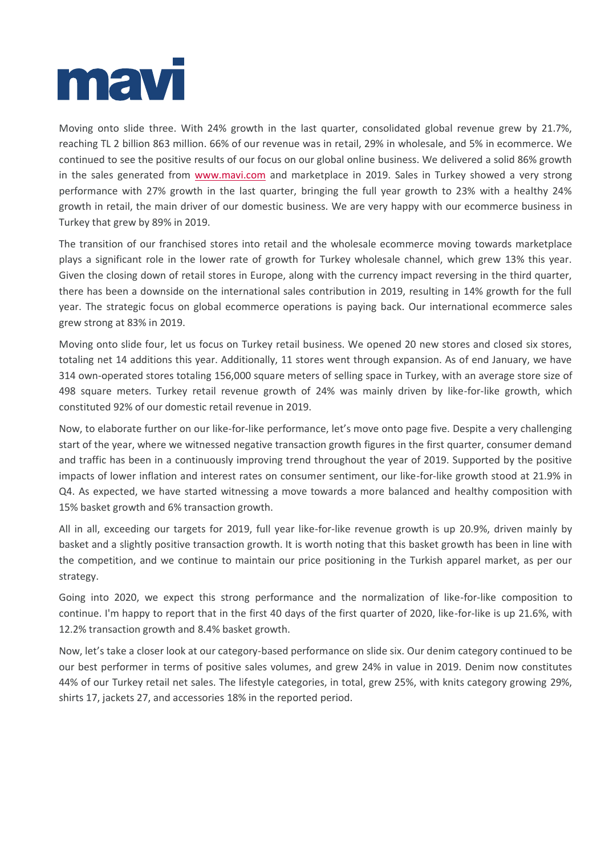

Moving onto slide three. With 24% growth in the last quarter, consolidated global revenue grew by 21.7%, reaching TL 2 billion 863 million. 66% of our revenue was in retail, 29% in wholesale, and 5% in ecommerce. We continued to see the positive results of our focus on our global online business. We delivered a solid 86% growth in the sales generated from [www.mavi.com](http://www.mavi.com/) and marketplace in 2019. Sales in Turkey showed a very strong performance with 27% growth in the last quarter, bringing the full year growth to 23% with a healthy 24% growth in retail, the main driver of our domestic business. We are very happy with our ecommerce business in Turkey that grew by 89% in 2019.

The transition of our franchised stores into retail and the wholesale ecommerce moving towards marketplace plays a significant role in the lower rate of growth for Turkey wholesale channel, which grew 13% this year. Given the closing down of retail stores in Europe, along with the currency impact reversing in the third quarter, there has been a downside on the international sales contribution in 2019, resulting in 14% growth for the full year. The strategic focus on global ecommerce operations is paying back. Our international ecommerce sales grew strong at 83% in 2019.

Moving onto slide four, let us focus on Turkey retail business. We opened 20 new stores and closed six stores, totaling net 14 additions this year. Additionally, 11 stores went through expansion. As of end January, we have 314 own-operated stores totaling 156,000 square meters of selling space in Turkey, with an average store size of 498 square meters. Turkey retail revenue growth of 24% was mainly driven by like-for-like growth, which constituted 92% of our domestic retail revenue in 2019.

Now, to elaborate further on our like-for-like performance, let's move onto page five. Despite a very challenging start of the year, where we witnessed negative transaction growth figures in the first quarter, consumer demand and traffic has been in a continuously improving trend throughout the year of 2019. Supported by the positive impacts of lower inflation and interest rates on consumer sentiment, our like-for-like growth stood at 21.9% in Q4. As expected, we have started witnessing a move towards a more balanced and healthy composition with 15% basket growth and 6% transaction growth.

All in all, exceeding our targets for 2019, full year like-for-like revenue growth is up 20.9%, driven mainly by basket and a slightly positive transaction growth. It is worth noting that this basket growth has been in line with the competition, and we continue to maintain our price positioning in the Turkish apparel market, as per our strategy.

Going into 2020, we expect this strong performance and the normalization of like-for-like composition to continue. I'm happy to report that in the first 40 days of the first quarter of 2020, like-for-like is up 21.6%, with 12.2% transaction growth and 8.4% basket growth.

Now, let's take a closer look at our category-based performance on slide six. Our denim category continued to be our best performer in terms of positive sales volumes, and grew 24% in value in 2019. Denim now constitutes 44% of our Turkey retail net sales. The lifestyle categories, in total, grew 25%, with knits category growing 29%, shirts 17, jackets 27, and accessories 18% in the reported period.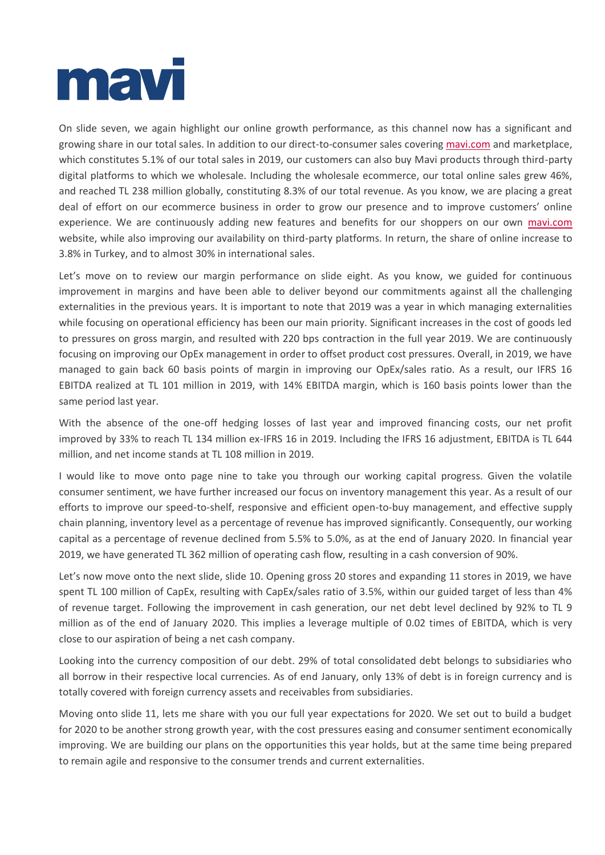

On slide seven, we again highlight our online growth performance, as this channel now has a significant and growing share in our total sales. In addition to our direct-to-consumer sales covering [mavi.com](http://www.mavi.com/) and marketplace, which constitutes 5.1% of our total sales in 2019, our customers can also buy Mavi products through third-party digital platforms to which we wholesale. Including the wholesale ecommerce, our total online sales grew 46%, and reached TL 238 million globally, constituting 8.3% of our total revenue. As you know, we are placing a great deal of effort on our ecommerce business in order to grow our presence and to improve customers' online experience. We are continuously adding new features and benefits for our shoppers on our own [mavi.com](http://www.mavi.com/) website, while also improving our availability on third-party platforms. In return, the share of online increase to 3.8% in Turkey, and to almost 30% in international sales.

Let's move on to review our margin performance on slide eight. As you know, we guided for continuous improvement in margins and have been able to deliver beyond our commitments against all the challenging externalities in the previous years. It is important to note that 2019 was a year in which managing externalities while focusing on operational efficiency has been our main priority. Significant increases in the cost of goods led to pressures on gross margin, and resulted with 220 bps contraction in the full year 2019. We are continuously focusing on improving our OpEx management in order to offset product cost pressures. Overall, in 2019, we have managed to gain back 60 basis points of margin in improving our OpEx/sales ratio. As a result, our IFRS 16 EBITDA realized at TL 101 million in 2019, with 14% EBITDA margin, which is 160 basis points lower than the same period last year.

With the absence of the one-off hedging losses of last year and improved financing costs, our net profit improved by 33% to reach TL 134 million ex-IFRS 16 in 2019. Including the IFRS 16 adjustment, EBITDA is TL 644 million, and net income stands at TL 108 million in 2019.

I would like to move onto page nine to take you through our working capital progress. Given the volatile consumer sentiment, we have further increased our focus on inventory management this year. As a result of our efforts to improve our speed-to-shelf, responsive and efficient open-to-buy management, and effective supply chain planning, inventory level as a percentage of revenue has improved significantly. Consequently, our working capital as a percentage of revenue declined from 5.5% to 5.0%, as at the end of January 2020. In financial year 2019, we have generated TL 362 million of operating cash flow, resulting in a cash conversion of 90%.

Let's now move onto the next slide, slide 10. Opening gross 20 stores and expanding 11 stores in 2019, we have spent TL 100 million of CapEx, resulting with CapEx/sales ratio of 3.5%, within our guided target of less than 4% of revenue target. Following the improvement in cash generation, our net debt level declined by 92% to TL 9 million as of the end of January 2020. This implies a leverage multiple of 0.02 times of EBITDA, which is very close to our aspiration of being a net cash company.

Looking into the currency composition of our debt. 29% of total consolidated debt belongs to subsidiaries who all borrow in their respective local currencies. As of end January, only 13% of debt is in foreign currency and is totally covered with foreign currency assets and receivables from subsidiaries.

Moving onto slide 11, lets me share with you our full year expectations for 2020. We set out to build a budget for 2020 to be another strong growth year, with the cost pressures easing and consumer sentiment economically improving. We are building our plans on the opportunities this year holds, but at the same time being prepared to remain agile and responsive to the consumer trends and current externalities.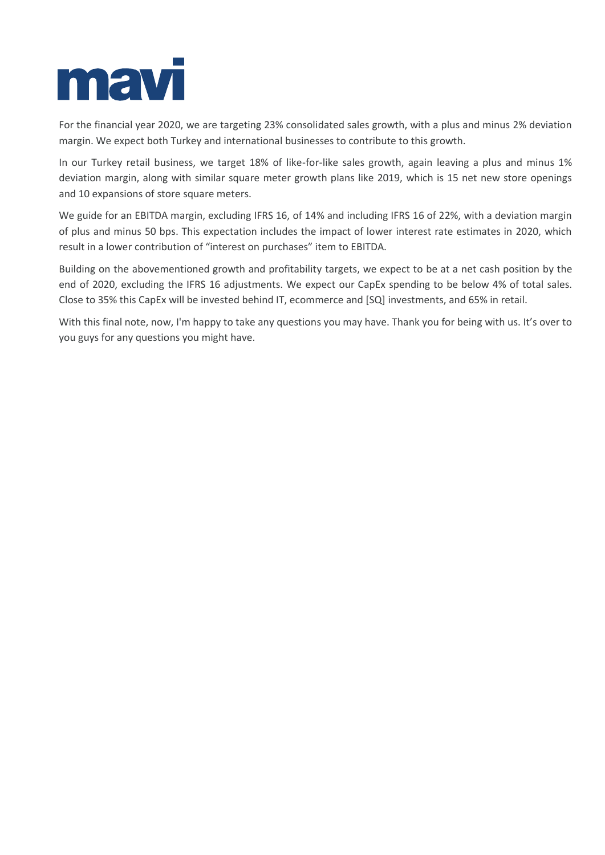

For the financial year 2020, we are targeting 23% consolidated sales growth, with a plus and minus 2% deviation margin. We expect both Turkey and international businesses to contribute to this growth.

In our Turkey retail business, we target 18% of like-for-like sales growth, again leaving a plus and minus 1% deviation margin, along with similar square meter growth plans like 2019, which is 15 net new store openings and 10 expansions of store square meters.

We guide for an EBITDA margin, excluding IFRS 16, of 14% and including IFRS 16 of 22%, with a deviation margin of plus and minus 50 bps. This expectation includes the impact of lower interest rate estimates in 2020, which result in a lower contribution of "interest on purchases" item to EBITDA.

Building on the abovementioned growth and profitability targets, we expect to be at a net cash position by the end of 2020, excluding the IFRS 16 adjustments. We expect our CapEx spending to be below 4% of total sales. Close to 35% this CapEx will be invested behind IT, ecommerce and [SQ] investments, and 65% in retail.

With this final note, now, I'm happy to take any questions you may have. Thank you for being with us. It's over to you guys for any questions you might have.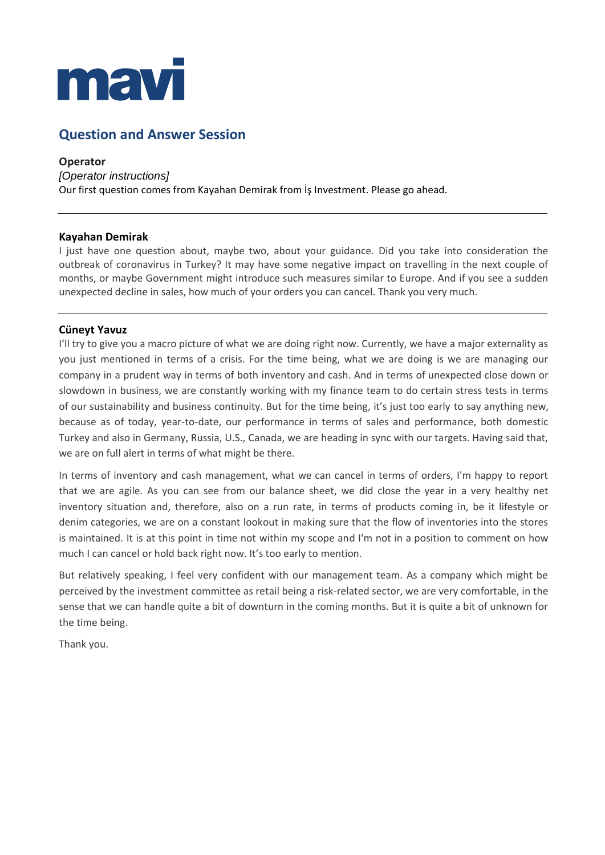

# **Question and Answer Session**

**Operator** *[Operator instructions]* Our first question comes from Kayahan Demirak from İş Investment. Please go ahead.

#### **Kayahan Demirak**

I just have one question about, maybe two, about your guidance. Did you take into consideration the outbreak of coronavirus in Turkey? It may have some negative impact on travelling in the next couple of months, or maybe Government might introduce such measures similar to Europe. And if you see a sudden unexpected decline in sales, how much of your orders you can cancel. Thank you very much.

### **Cüneyt Yavuz**

I'll try to give you a macro picture of what we are doing right now. Currently, we have a major externality as you just mentioned in terms of a crisis. For the time being, what we are doing is we are managing our company in a prudent way in terms of both inventory and cash. And in terms of unexpected close down or slowdown in business, we are constantly working with my finance team to do certain stress tests in terms of our sustainability and business continuity. But for the time being, it's just too early to say anything new, because as of today, year-to-date, our performance in terms of sales and performance, both domestic Turkey and also in Germany, Russia, U.S., Canada, we are heading in sync with our targets. Having said that, we are on full alert in terms of what might be there.

In terms of inventory and cash management, what we can cancel in terms of orders, I'm happy to report that we are agile. As you can see from our balance sheet, we did close the year in a very healthy net inventory situation and, therefore, also on a run rate, in terms of products coming in, be it lifestyle or denim categories, we are on a constant lookout in making sure that the flow of inventories into the stores is maintained. It is at this point in time not within my scope and I'm not in a position to comment on how much I can cancel or hold back right now. It's too early to mention.

But relatively speaking, I feel very confident with our management team. As a company which might be perceived by the investment committee as retail being a risk-related sector, we are very comfortable, in the sense that we can handle quite a bit of downturn in the coming months. But it is quite a bit of unknown for the time being.

Thank you.